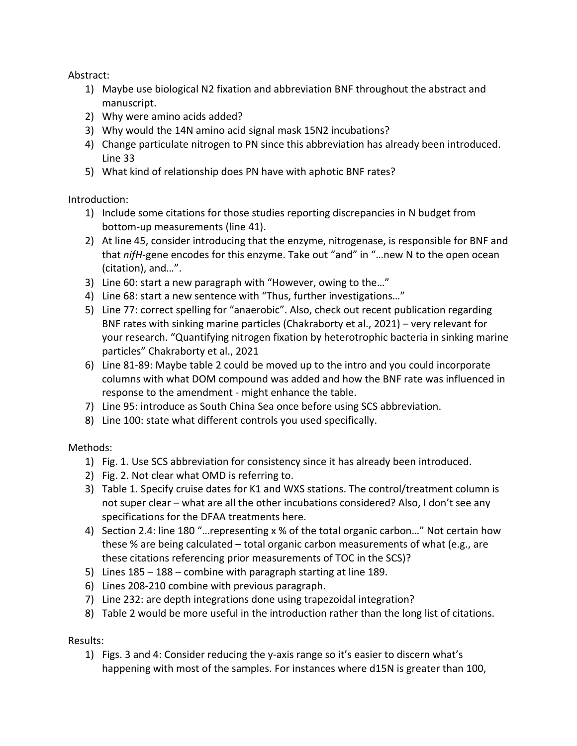Abstract:

- 1) Maybe use biological N2 fixation and abbreviation BNF throughout the abstract and manuscript.
- 2) Why were amino acids added?
- 3) Why would the 14N amino acid signal mask 15N2 incubations?
- 4) Change particulate nitrogen to PN since this abbreviation has already been introduced. Line 33
- 5) What kind of relationship does PN have with aphotic BNF rates?

Introduction:

- 1) Include some citations for those studies reporting discrepancies in N budget from bottom-up measurements (line 41).
- 2) At line 45, consider introducing that the enzyme, nitrogenase, is responsible for BNF and that *nifH*-gene encodes for this enzyme. Take out "and" in "…new N to the open ocean (citation), and…".
- 3) Line 60: start a new paragraph with "However, owing to the…"
- 4) Line 68: start a new sentence with "Thus, further investigations…"
- 5) Line 77: correct spelling for "anaerobic". Also, check out recent publication regarding BNF rates with sinking marine particles (Chakraborty et al., 2021) – very relevant for your research. "Quantifying nitrogen fixation by heterotrophic bacteria in sinking marine particles" Chakraborty et al., 2021
- 6) Line 81-89: Maybe table 2 could be moved up to the intro and you could incorporate columns with what DOM compound was added and how the BNF rate was influenced in response to the amendment - might enhance the table.
- 7) Line 95: introduce as South China Sea once before using SCS abbreviation.
- 8) Line 100: state what different controls you used specifically.

Methods:

- 1) Fig. 1. Use SCS abbreviation for consistency since it has already been introduced.
- 2) Fig. 2. Not clear what OMD is referring to.
- 3) Table 1. Specify cruise dates for K1 and WXS stations. The control/treatment column is not super clear – what are all the other incubations considered? Also, I don't see any specifications for the DFAA treatments here.
- 4) Section 2.4: line 180 "…representing x % of the total organic carbon…" Not certain how these % are being calculated – total organic carbon measurements of what (e.g., are these citations referencing prior measurements of TOC in the SCS)?
- 5) Lines 185 188 combine with paragraph starting at line 189.
- 6) Lines 208-210 combine with previous paragraph.
- 7) Line 232: are depth integrations done using trapezoidal integration?
- 8) Table 2 would be more useful in the introduction rather than the long list of citations.

## Results:

1) Figs. 3 and 4: Consider reducing the y-axis range so it's easier to discern what's happening with most of the samples. For instances where d15N is greater than 100,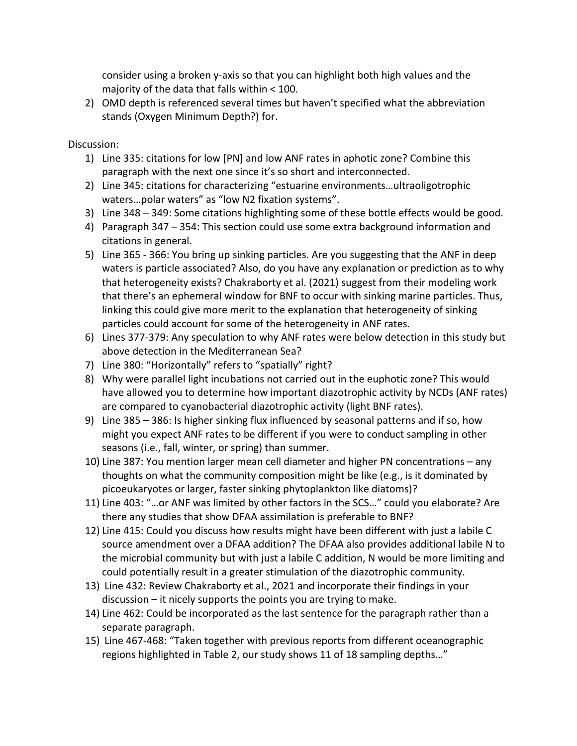consider using a broken y-axis so that you can highlight both high values and the majority of the data that falls within < 100.

2) OMD depth is referenced several times but haven't specified what the abbreviation stands (Oxygen Minimum Depth?) for.

Discussion:

- 1) Line 335: citations for low [PN] and low ANF rates in aphotic zone? Combine this paragraph with the next one since it's so short and interconnected.
- 2) Line 345: citations for characterizing "estuarine environments…ultraoligotrophic waters…polar waters" as "low N2 fixation systems".
- 3) Line 348 349: Some citations highlighting some of these bottle effects would be good.
- 4) Paragraph 347 354: This section could use some extra background information and citations in general.
- 5) Line 365 366: You bring up sinking particles. Are you suggesting that the ANF in deep waters is particle associated? Also, do you have any explanation or prediction as to why that heterogeneity exists? Chakraborty et al. (2021) suggest from their modeling work that there's an ephemeral window for BNF to occur with sinking marine particles. Thus, linking this could give more merit to the explanation that heterogeneity of sinking particles could account for some of the heterogeneity in ANF rates.
- 6) Lines 377-379: Any speculation to why ANF rates were below detection in this study but above detection in the Mediterranean Sea?
- 7) Line 380: "Horizontally" refers to "spatially" right?
- 8) Why were parallel light incubations not carried out in the euphotic zone? This would have allowed you to determine how important diazotrophic activity by NCDs (ANF rates) are compared to cyanobacterial diazotrophic activity (light BNF rates).
- 9) Line 385 386: Is higher sinking flux influenced by seasonal patterns and if so, how might you expect ANF rates to be different if you were to conduct sampling in other seasons (i.e., fall, winter, or spring) than summer.
- 10) Line 387: You mention larger mean cell diameter and higher PN concentrations any thoughts on what the community composition might be like (e.g., is it dominated by picoeukaryotes or larger, faster sinking phytoplankton like diatoms)?
- 11) Line 403: "…or ANF was limited by other factors in the SCS…" could you elaborate? Are there any studies that show DFAA assimilation is preferable to BNF?
- 12) Line 415: Could you discuss how results might have been different with just a labile C source amendment over a DFAA addition? The DFAA also provides additional labile N to the microbial community but with just a labile C addition, N would be more limiting and could potentially result in a greater stimulation of the diazotrophic community.
- 13) Line 432: Review Chakraborty et al., 2021 and incorporate their findings in your discussion – it nicely supports the points you are trying to make.
- 14) Line 462: Could be incorporated as the last sentence for the paragraph rather than a separate paragraph.
- 15) Line 467-468: "Taken together with previous reports from different oceanographic regions highlighted in Table 2, our study shows 11 of 18 sampling depths…"